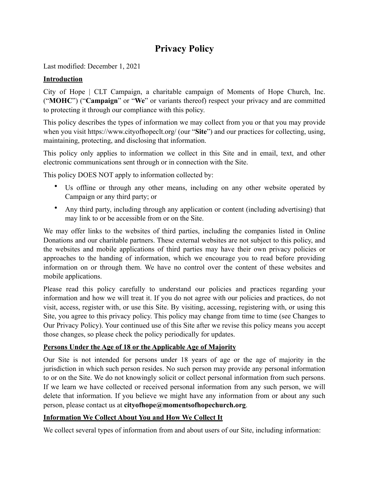# **Privacy Policy**

Last modified: December 1, 2021

## **Introduction**

City of Hope | CLT Campaign, a charitable campaign of Moments of Hope Church, Inc. ("**MOHC**") ("**Campaign**" or "**We**" or variants thereof) respect your privacy and are committed to protecting it through our compliance with this policy.

This policy describes the types of information we may collect from you or that you may provide when you visit https://www.cityofhopeclt.org/ (our "**Site**") and our practices for collecting, using, maintaining, protecting, and disclosing that information.

This policy only applies to information we collect in this Site and in email, text, and other electronic communications sent through or in connection with the Site.

This policy DOES NOT apply to information collected by:

- Us offline or through any other means, including on any other website operated by Campaign or any third party; or
- Any third party, including through any application or content (including advertising) that may link to or be accessible from or on the Site.

We may offer links to the websites of third parties, including the companies listed in Online Donations and our charitable partners. These external websites are not subject to this policy, and the websites and mobile applications of third parties may have their own privacy policies or approaches to the handing of information, which we encourage you to read before providing information on or through them. We have no control over the content of these websites and mobile applications.

Please read this policy carefully to understand our policies and practices regarding your information and how we will treat it. If you do not agree with our policies and practices, do not visit, access, register with, or use this Site. By visiting, accessing, registering with, or using this Site, you agree to this privacy policy. This policy may change from time to time (see Changes to Our Privacy Policy). Your continued use of this Site after we revise this policy means you accept those changes, so please check the policy periodically for updates.

# **Persons Under the Age of 18 or the Applicable Age of Majority**

Our Site is not intended for persons under 18 years of age or the age of majority in the jurisdiction in which such person resides. No such person may provide any personal information to or on the Site. We do not knowingly solicit or collect personal information from such persons. If we learn we have collected or received personal information from any such person, we will delete that information. If you believe we might have any information from or about any such person, please contact us at **[cityofhope@momentsofhopechurch.org](mailto:cityofhope@momentsofhopechurch.org)**.

# **Information We Collect About You and How We Collect It**

We collect several types of information from and about users of our Site, including information: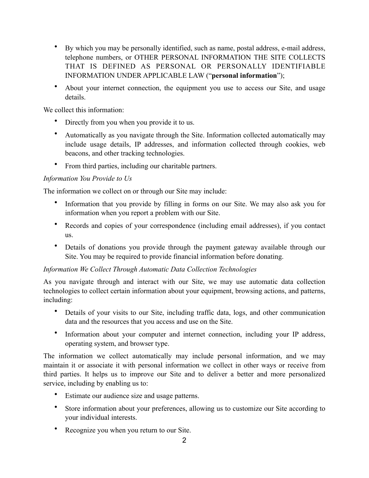- By which you may be personally identified, such as name, postal address, e-mail address, telephone numbers, or OTHER PERSONAL INFORMATION THE SITE COLLECTS THAT IS DEFINED AS PERSONAL OR PERSONALLY IDENTIFIABLE INFORMATION UNDER APPLICABLE LAW ("**personal information**");
- About your internet connection, the equipment you use to access our Site, and usage details.

We collect this information:

- Directly from you when you provide it to us.
- Automatically as you navigate through the Site. Information collected automatically may include usage details, IP addresses, and information collected through cookies, web beacons, and other tracking technologies.
- From third parties, including our charitable partners.

#### *Information You Provide to Us*

The information we collect on or through our Site may include:

- Information that you provide by filling in forms on our Site. We may also ask you for information when you report a problem with our Site.
- Records and copies of your correspondence (including email addresses), if you contact us.
- Details of donations you provide through the payment gateway available through our Site. You may be required to provide financial information before donating.

#### *Information We Collect Through Automatic Data Collection Technologies*

As you navigate through and interact with our Site, we may use automatic data collection technologies to collect certain information about your equipment, browsing actions, and patterns, including:

- Details of your visits to our Site, including traffic data, logs, and other communication data and the resources that you access and use on the Site.
- Information about your computer and internet connection, including your IP address, operating system, and browser type.

The information we collect automatically may include personal information, and we may maintain it or associate it with personal information we collect in other ways or receive from third parties. It helps us to improve our Site and to deliver a better and more personalized service, including by enabling us to:

- Estimate our audience size and usage patterns.
- Store information about your preferences, allowing us to customize our Site according to your individual interests.
- Recognize you when you return to our Site.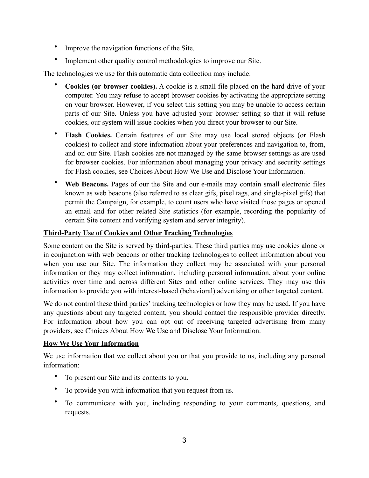- Improve the navigation functions of the Site.
- Implement other quality control methodologies to improve our Site.

The technologies we use for this automatic data collection may include:

- **Cookies (or browser cookies).** A cookie is a small file placed on the hard drive of your computer. You may refuse to accept browser cookies by activating the appropriate setting on your browser. However, if you select this setting you may be unable to access certain parts of our Site. Unless you have adjusted your browser setting so that it will refuse cookies, our system will issue cookies when you direct your browser to our Site.
- **Flash Cookies.** Certain features of our Site may use local stored objects (or Flash cookies) to collect and store information about your preferences and navigation to, from, and on our Site. Flash cookies are not managed by the same browser settings as are used for browser cookies. For information about managing your privacy and security settings for Flash cookies, see Choices About How We Use and Disclose Your Information.
- **Web Beacons.** Pages of our the Site and our e-mails may contain small electronic files known as web beacons (also referred to as clear gifs, pixel tags, and single-pixel gifs) that permit the Campaign, for example, to count users who have visited those pages or opened an email and for other related Site statistics (for example, recording the popularity of certain Site content and verifying system and server integrity).

#### **Third-Party Use of Cookies and Other Tracking Technologies**

Some content on the Site is served by third-parties. These third parties may use cookies alone or in conjunction with web beacons or other tracking technologies to collect information about you when you use our Site. The information they collect may be associated with your personal information or they may collect information, including personal information, about your online activities over time and across different Sites and other online services. They may use this information to provide you with interest-based (behavioral) advertising or other targeted content.

We do not control these third parties' tracking technologies or how they may be used. If you have any questions about any targeted content, you should contact the responsible provider directly. For information about how you can opt out of receiving targeted advertising from many providers, see Choices About How We Use and Disclose Your Information.

#### **How We Use Your Information**

We use information that we collect about you or that you provide to us, including any personal information:

- To present our Site and its contents to you.
- To provide you with information that you request from us.
- To communicate with you, including responding to your comments, questions, and requests.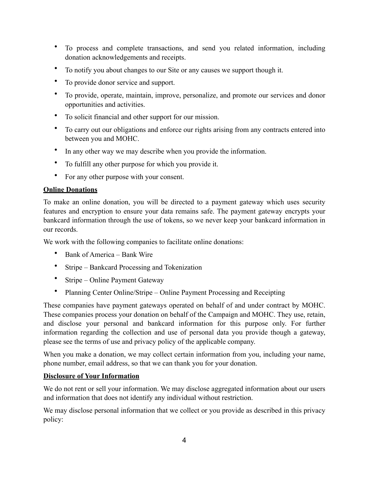- To process and complete transactions, and send you related information, including donation acknowledgements and receipts.
- To notify you about changes to our Site or any causes we support though it.
- To provide donor service and support.
- To provide, operate, maintain, improve, personalize, and promote our services and donor opportunities and activities.
- To solicit financial and other support for our mission.
- To carry out our obligations and enforce our rights arising from any contracts entered into between you and MOHC.
- In any other way we may describe when you provide the information.
- To fulfill any other purpose for which you provide it.
- For any other purpose with your consent.

#### **Online Donations**

To make an online donation, you will be directed to a payment gateway which uses security features and encryption to ensure your data remains safe. The payment gateway encrypts your bankcard information through the use of tokens, so we never keep your bankcard information in our records.

We work with the following companies to facilitate online donations:

- Bank of America Bank Wire
- Stripe Bankcard Processing and Tokenization
- Stripe Online Payment Gateway
- Planning Center Online/Stripe Online Payment Processing and Receipting

These companies have payment gateways operated on behalf of and under contract by MOHC. These companies process your donation on behalf of the Campaign and MOHC. They use, retain, and disclose your personal and bankcard information for this purpose only. For further information regarding the collection and use of personal data you provide though a gateway, please see the terms of use and privacy policy of the applicable company.

When you make a donation, we may collect certain information from you, including your name, phone number, email address, so that we can thank you for your donation.

#### **Disclosure of Your Information**

We do not rent or sell your information. We may disclose aggregated information about our users and information that does not identify any individual without restriction.

We may disclose personal information that we collect or you provide as described in this privacy policy: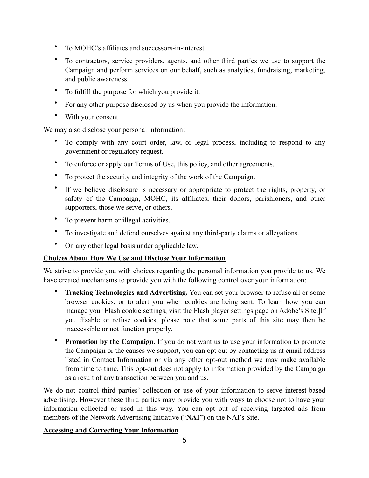- To MOHC's affiliates and successors-in-interest.
- To contractors, service providers, agents, and other third parties we use to support the Campaign and perform services on our behalf, such as analytics, fundraising, marketing, and public awareness.
- To fulfill the purpose for which you provide it.
- For any other purpose disclosed by us when you provide the information.
- With your consent.

We may also disclose your personal information:

- To comply with any court order, law, or legal process, including to respond to any government or regulatory request.
- To enforce or apply our Terms of Use, this policy, and other agreements.
- To protect the security and integrity of the work of the Campaign.
- If we believe disclosure is necessary or appropriate to protect the rights, property, or safety of the Campaign, MOHC, its affiliates, their donors, parishioners, and other supporters, those we serve, or others.
- To prevent harm or illegal activities.
- To investigate and defend ourselves against any third-party claims or allegations.
- On any other legal basis under applicable law.

# **Choices About How We Use and Disclose Your Information**

We strive to provide you with choices regarding the personal information you provide to us. We have created mechanisms to provide you with the following control over your information:

- **Tracking Technologies and Advertising.** You can set your browser to refuse all or some browser cookies, or to alert you when cookies are being sent. To learn how you can manage your Flash cookie settings, visit the Flash player settings page on Adobe's Site.]If you disable or refuse cookies, please note that some parts of this site may then be inaccessible or not function properly.
- **Promotion by the Campaign.** If you do not want us to use your information to promote the Campaign or the causes we support, you can opt out by contacting us at email address listed in Contact Information or via any other opt-out method we may make available from time to time. This opt-out does not apply to information provided by the Campaign as a result of any transaction between you and us.

We do not control third parties' collection or use of your information to serve interest-based advertising. However these third parties may provide you with ways to choose not to have your information collected or used in this way. You can opt out of receiving targeted ads from members of the Network Advertising Initiative ("**NAI**") on the NAI's Site.

# **Accessing and Correcting Your Information**